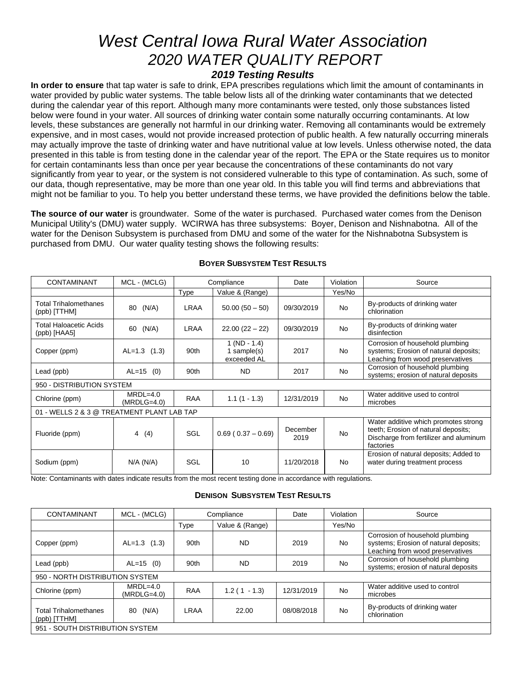# *West Central Iowa Rural Water Association 2020 WATER QUALITY REPORT 2019 Testing Results*

**In order to ensure** that tap water is safe to drink, EPA prescribes regulations which limit the amount of contaminants in water provided by public water systems. The table below lists all of the drinking water contaminants that we detected during the calendar year of this report. Although many more contaminants were tested, only those substances listed below were found in your water. All sources of drinking water contain some naturally occurring contaminants. At low levels, these substances are generally not harmful in our drinking water. Removing all contaminants would be extremely expensive, and in most cases, would not provide increased protection of public health. A few naturally occurring minerals may actually improve the taste of drinking water and have nutritional value at low levels. Unless otherwise noted, the data presented in this table is from testing done in the calendar year of the report. The EPA or the State requires us to monitor for certain contaminants less than once per year because the concentrations of these contaminants do not vary significantly from year to year, or the system is not considered vulnerable to this type of contamination. As such, some of our data, though representative, may be more than one year old. In this table you will find terms and abbreviations that might not be familiar to you. To help you better understand these terms, we have provided the definitions below the table.

**The source of our water** is groundwater. Some of the water is purchased. Purchased water comes from the Denison Municipal Utility's (DMU) water supply. WCIRWA has three subsystems: Boyer, Denison and Nishnabotna. All of the water for the Denison Subsystem is purchased from DMU and some of the water for the Nishnabotna Subsystem is purchased from DMU. Our water quality testing shows the following results:

| <b>CONTAMINANT</b>                           | MCL - (MCLG)                |             | Compliance                                   | Date             | Violation      | Source                                                                                                                             |  |
|----------------------------------------------|-----------------------------|-------------|----------------------------------------------|------------------|----------------|------------------------------------------------------------------------------------------------------------------------------------|--|
|                                              |                             | Type        | Value & (Range)                              |                  | Yes/No         |                                                                                                                                    |  |
| <b>Total Trihalomethanes</b><br>(ppb) [TTHM] | (N/A)<br>80                 | <b>LRAA</b> | $50.00(50-50)$                               | 09/30/2019       | <b>No</b>      | By-products of drinking water<br>chlorination                                                                                      |  |
| Total Haloacetic Acids<br>(ppb) [HAA5]       | (N/A)<br>60                 | LRAA        | $22.00(22-22)$                               | 09/30/2019       | <b>No</b>      | By-products of drinking water<br>disinfection                                                                                      |  |
| Copper (ppm)                                 | $AL=1.3$ (1.3)              | 90th        | $1 (ND - 1.4)$<br>1 sample(s)<br>exceeded AL | 2017             | <b>No</b>      | Corrosion of household plumbing<br>systems; Erosion of natural deposits;<br>Leaching from wood preservatives                       |  |
| Lead (ppb)                                   | $AL=15$ (0)                 | 90th        | <b>ND</b>                                    | 2017             | <b>No</b>      | Corrosion of household plumbing<br>systems; erosion of natural deposits                                                            |  |
| 950 - DISTRIBUTION SYSTEM                    |                             |             |                                              |                  |                |                                                                                                                                    |  |
| Chlorine (ppm)                               | $MRDL=4.0$<br>$(MRDLG=4.0)$ | <b>RAA</b>  | $1.1(1 - 1.3)$                               | 12/31/2019       | N <sub>o</sub> | Water additive used to control<br>microbes                                                                                         |  |
| 01 - WELLS 2 & 3 @ TREATMENT PLANT LAB TAP   |                             |             |                                              |                  |                |                                                                                                                                    |  |
| Fluoride (ppm)                               | 4<br>(4)                    | SGL         | $0.69(0.37-0.69)$                            | December<br>2019 | <b>No</b>      | Water additive which promotes strong<br>teeth; Erosion of natural deposits;<br>Discharge from fertilizer and aluminum<br>factories |  |
| Sodium (ppm)                                 | $N/A$ ( $N/A$ )             | SGL         | 10                                           | 11/20/2018       | <b>No</b>      | Erosion of natural deposits; Added to<br>water during treatment process                                                            |  |

#### **BOYER SUBSYSTEM TEST RESULTS**

Note: Contaminants with dates indicate results from the most recent testing done in accordance with regulations.

#### **DENISON SUBSYSTEM TEST RESULTS**

| <b>CONTAMINANT</b>                           | MCL - (MCLG)                | Compliance  |                 | Date       | Violation | Source                                                                                                       |  |
|----------------------------------------------|-----------------------------|-------------|-----------------|------------|-----------|--------------------------------------------------------------------------------------------------------------|--|
|                                              |                             | <b>Type</b> | Value & (Range) |            | Yes/No    |                                                                                                              |  |
| Copper (ppm)                                 | $AL=1.3$ (1.3)              | 90th        | <b>ND</b>       | 2019       | <b>No</b> | Corrosion of household plumbing<br>systems; Erosion of natural deposits;<br>Leaching from wood preservatives |  |
| Lead (ppb)                                   | $AL=15$ (0)                 | 90th        | <b>ND</b>       | 2019       | <b>No</b> | Corrosion of household plumbing<br>systems; erosion of natural deposits                                      |  |
| 950 - NORTH DISTRIBUTION SYSTEM              |                             |             |                 |            |           |                                                                                                              |  |
| Chlorine (ppm)                               | $MRDL=4.0$<br>$(MRDLG=4.0)$ | <b>RAA</b>  | $1.2(1 - 1.3)$  | 12/31/2019 | <b>No</b> | Water additive used to control<br>microbes                                                                   |  |
| <b>Total Trihalomethanes</b><br>(ppb) [TTHM] | (N/A)<br>80                 | LRAA        | 22.00           | 08/08/2018 | <b>No</b> | By-products of drinking water<br>chlorination                                                                |  |
| 951 - SOUTH DISTRIBUTION SYSTEM              |                             |             |                 |            |           |                                                                                                              |  |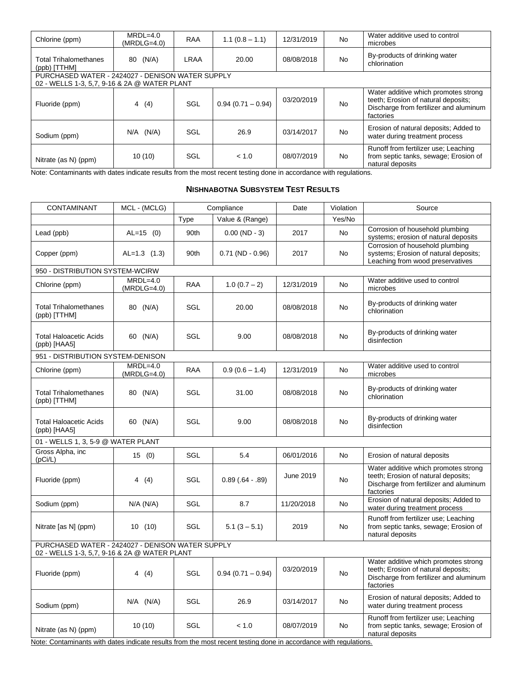| Chlorine (ppm)                                               | $MRDL=4.0$<br>$(MRDLG=4.0)$                    | <b>RAA</b>      | $1.1(0.8 - 1.1)$                                   | 12/31/2019 | No.                         | Water additive used to control<br>microbes                                                                                         |
|--------------------------------------------------------------|------------------------------------------------|-----------------|----------------------------------------------------|------------|-----------------------------|------------------------------------------------------------------------------------------------------------------------------------|
| <b>Total Trihalomethanes</b><br>(ppb) [TTHM]                 | 80 (N/A)                                       | LRAA            | 20.00                                              | 08/08/2018 | No.                         | By-products of drinking water<br>chlorination                                                                                      |
| PURCHASED WATER - 2424027 - DENISON WATER SUPPLY             |                                                |                 |                                                    |            |                             |                                                                                                                                    |
| 02 - WELLS 1-3, 5,7, 9-16 & 2A @ WATER PLANT                 |                                                |                 |                                                    |            |                             |                                                                                                                                    |
| Fluoride (ppm)                                               | 4(4)                                           | SGL             | $0.94(0.71 - 0.94)$                                | 03/20/2019 | <b>No</b>                   | Water additive which promotes strong<br>teeth; Erosion of natural deposits;<br>Discharge from fertilizer and aluminum<br>factories |
| Sodium (ppm)                                                 | $N/A$ $(N/A)$                                  | SGL             | 26.9                                               | 03/14/2017 | No.                         | Erosion of natural deposits; Added to<br>water during treatment process                                                            |
| Nitrate (as N) (ppm)<br>$\cdots$ $\sim$ $\cdots$<br>$\cdots$ | 10(10)<br>$\cdots$ $\cdots$<br>$\cdot$ $\cdot$ | SGL<br>$\sim$ . | < 1.0<br>$\sim$ $\sim$ $\sim$ $\sim$ $\sim$ $\sim$ | 08/07/2019 | No.<br>$\cdots$<br>$\cdots$ | Runoff from fertilizer use; Leaching<br>from septic tanks, sewage; Erosion of<br>natural deposits                                  |

Note: Contaminants with dates indicate results from the most recent testing done in accordance with regulations.

#### **NISHNABOTNA SUBSYSTEM TEST RESULTS**

| MCL - (MCLG)                                                                                     |            |                      | Date       | Violation | Source                                                                                                                             |  |  |  |
|--------------------------------------------------------------------------------------------------|------------|----------------------|------------|-----------|------------------------------------------------------------------------------------------------------------------------------------|--|--|--|
|                                                                                                  | Type       | Value & (Range)      |            | Yes/No    |                                                                                                                                    |  |  |  |
| $AL=15$ (0)                                                                                      | 90th       | $0.00$ (ND - 3)      | 2017       | <b>No</b> | Corrosion of household plumbing<br>systems; erosion of natural deposits                                                            |  |  |  |
| $AL=1.3$ (1.3)                                                                                   | 90th       | $0.71$ (ND $-0.96$ ) | 2017       | No        | Corrosion of household plumbing<br>systems; Erosion of natural deposits;<br>Leaching from wood preservatives                       |  |  |  |
| 950 - DISTRIBUTION SYSTEM-WCIRW                                                                  |            |                      |            |           |                                                                                                                                    |  |  |  |
| $MRDL=4.0$<br>$(MRDLG=4.0)$                                                                      | RAA        | $1.0(0.7 - 2)$       | 12/31/2019 | <b>No</b> | Water additive used to control<br>microbes                                                                                         |  |  |  |
| 80 (N/A)                                                                                         | SGL        | 20.00                | 08/08/2018 | <b>No</b> | By-products of drinking water<br>chlorination                                                                                      |  |  |  |
| 60 (N/A)                                                                                         | SGL        | 9.00                 | 08/08/2018 | <b>No</b> | By-products of drinking water<br>disinfection                                                                                      |  |  |  |
| 951 - DISTRIBUTION SYSTEM-DENISON                                                                |            |                      |            |           |                                                                                                                                    |  |  |  |
| $(MRDLG=4.0)$                                                                                    | <b>RAA</b> | $0.9(0.6 - 1.4)$     | 12/31/2019 | <b>No</b> | Water additive used to control<br>microbes                                                                                         |  |  |  |
| 80 (N/A)                                                                                         | SGL        | 31.00                | 08/08/2018 | No        | By-products of drinking water<br>chlorination                                                                                      |  |  |  |
| 60 (N/A)                                                                                         | SGL        | 9.00                 | 08/08/2018 | <b>No</b> | By-products of drinking water<br>disinfection                                                                                      |  |  |  |
| 01 - WELLS 1, 3, 5-9 @ WATER PLANT                                                               |            |                      |            |           |                                                                                                                                    |  |  |  |
| 15(0)                                                                                            | SGL        | 5.4                  | 06/01/2016 | <b>No</b> | Erosion of natural deposits                                                                                                        |  |  |  |
| 4(4)                                                                                             | SGL        | $0.89(.64-.89)$      | June 2019  | <b>No</b> | Water additive which promotes strong<br>teeth; Erosion of natural deposits;<br>Discharge from fertilizer and aluminum<br>factories |  |  |  |
| $N/A$ ( $N/A$ )                                                                                  | SGL        | 8.7                  | 11/20/2018 | <b>No</b> | Erosion of natural deposits; Added to<br>water during treatment process                                                            |  |  |  |
| 10(10)                                                                                           | SGL        | $5.1(3 - 5.1)$       | 2019       | No        | Runoff from fertilizer use; Leaching<br>from septic tanks, sewage; Erosion of<br>natural deposits                                  |  |  |  |
| PURCHASED WATER - 2424027 - DENISON WATER SUPPLY<br>02 - WELLS 1-3, 5,7, 9-16 & 2A @ WATER PLANT |            |                      |            |           |                                                                                                                                    |  |  |  |
| 4 (4)                                                                                            | <b>SGL</b> | $0.94(0.71 - 0.94)$  | 03/20/2019 | <b>No</b> | Water additive which promotes strong<br>teeth; Erosion of natural deposits;<br>Discharge from fertilizer and aluminum<br>factories |  |  |  |
| $N/A$ $(N/A)$                                                                                    | SGL        | 26.9                 | 03/14/2017 | No        | Erosion of natural deposits; Added to<br>water during treatment process                                                            |  |  |  |
| 10(10)                                                                                           | <b>SGL</b> | < 1.0                | 08/07/2019 | <b>No</b> | Runoff from fertilizer use; Leaching<br>from septic tanks, sewage; Erosion of<br>natural deposits                                  |  |  |  |
|                                                                                                  | $MRDL=4.0$ |                      | Compliance |           |                                                                                                                                    |  |  |  |

Note: Contaminants with dates indicate results from the most recent testing done in accordance with regulations.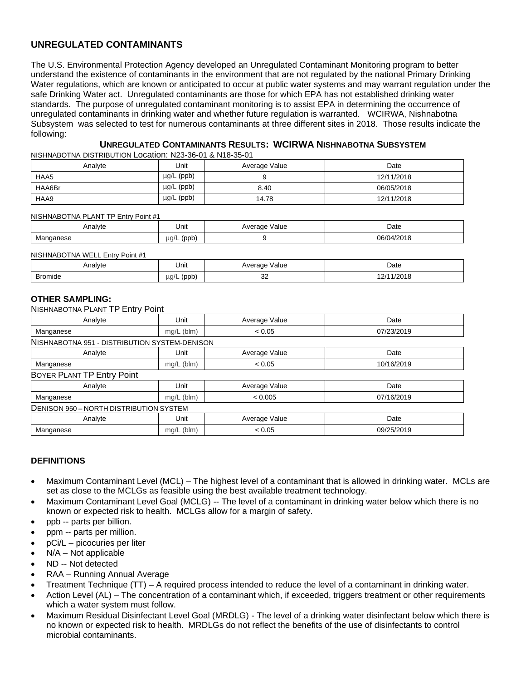# **UNREGULATED CONTAMINANTS**

The U.S. Environmental Protection Agency developed an Unregulated Contaminant Monitoring program to better understand the existence of contaminants in the environment that are not regulated by the national Primary Drinking Water regulations, which are known or anticipated to occur at public water systems and may warrant regulation under the safe Drinking Water act. Unregulated contaminants are those for which EPA has not established drinking water standards. The purpose of unregulated contaminant monitoring is to assist EPA in determining the occurrence of unregulated contaminants in drinking water and whether future regulation is warranted. WCIRWA, Nishnabotna Subsystem was selected to test for numerous contaminants at three different sites in 2018. Those results indicate the following:

# **UNREGULATED CONTAMINANTS RESULTS: WCIRWA NISHNABOTNA SUBSYSTEM**

NISHNABOTNA DISTRIBUTION Location: N23-36-01 & N18-35-01

| Analvte | Jnit            | Average Value | Date       |
|---------|-----------------|---------------|------------|
| HAA5    | $\mu$ g/L (ppb) |               | 12/11/2018 |
| HAA6Br  | $\mu$ g/L (ppb) | 8.40          | 06/05/2018 |
| HAA9    | $\mu$ g/L (ppb) | 14.78         | 12/11/2018 |

#### NISHNABOTNA PLANT TP Entry Point #1

| Analyte                   | Unit              | /alue<br>.<br>_____ | Date<br>.    |
|---------------------------|-------------------|---------------------|--------------|
| ма<br>ספו<br>_____<br>. . | ua/l<br>(ppb<br>- |                     | 06/04<br>ت ک |

#### NISHNABOTNA WELL Entry Point #1

| Analyte                | Unit                   | Value<br>. на се<br>$  -$ | Date<br>.  |
|------------------------|------------------------|---------------------------|------------|
| <b>Bromide</b><br>____ | $\mu$ g/<br>(ppb)<br>- | $\sim$<br>ັ<br>$\sim$     | /2018<br>. |

#### **OTHER SAMPLING:**

NISHNABOTNA PLANT TP Entry Point

| Analyte                                       | Unit         | Average Value | Date       |  |  |  |
|-----------------------------------------------|--------------|---------------|------------|--|--|--|
| Manganese                                     | mg/L (blm)   | < 0.05        | 07/23/2019 |  |  |  |
| NISHNABOTNA 951 - DISTRIBUTION SYSTEM-DENISON |              |               |            |  |  |  |
| Analyte                                       | Unit         | Average Value | Date       |  |  |  |
| Manganese                                     | $mg/L$ (blm) | < 0.05        | 10/16/2019 |  |  |  |
| BOYER PLANT TP Entry Point                    |              |               |            |  |  |  |
| Analyte                                       | Unit         | Average Value | Date       |  |  |  |
| Manganese                                     | $mg/L$ (blm) | < 0.005       | 07/16/2019 |  |  |  |
| DENISON 950 - NORTH DISTRIBUTION SYSTEM       |              |               |            |  |  |  |
| Analyte                                       | Unit         | Average Value | Date       |  |  |  |
| Manganese                                     | $mg/L$ (blm) | < 0.05        | 09/25/2019 |  |  |  |

#### **DEFINITIONS**

- Maximum Contaminant Level (MCL) The highest level of a contaminant that is allowed in drinking water. MCLs are set as close to the MCLGs as feasible using the best available treatment technology.
- Maximum Contaminant Level Goal (MCLG) -- The level of a contaminant in drinking water below which there is no known or expected risk to health. MCLGs allow for a margin of safety.
- ppb -- parts per billion.
- ppm -- parts per million.
- pCi/L picocuries per liter
- N/A Not applicable
- ND -- Not detected
- RAA Running Annual Average
- Treatment Technique (TT) A required process intended to reduce the level of a contaminant in drinking water.
- Action Level (AL) The concentration of a contaminant which, if exceeded, triggers treatment or other requirements which a water system must follow.
- Maximum Residual Disinfectant Level Goal (MRDLG) The level of a drinking water disinfectant below which there is no known or expected risk to health. MRDLGs do not reflect the benefits of the use of disinfectants to control microbial contaminants.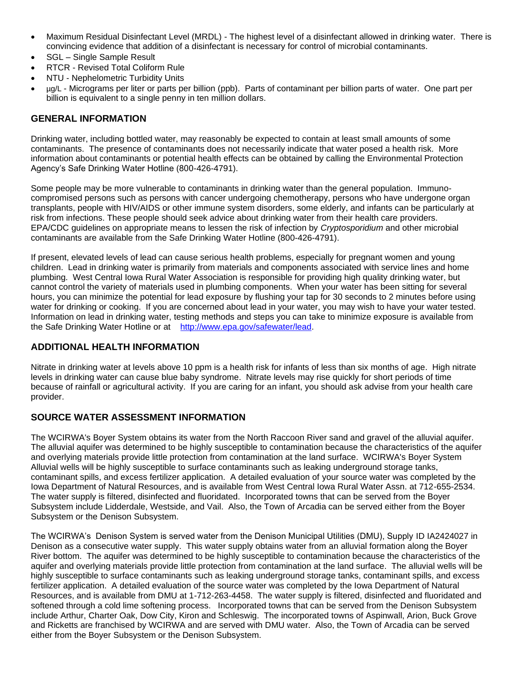- Maximum Residual Disinfectant Level (MRDL) The highest level of a disinfectant allowed in drinking water. There is convincing evidence that addition of a disinfectant is necessary for control of microbial contaminants.
- SGL Single Sample Result
- RTCR Revised Total Coliform Rule
- NTU Nephelometric Turbidity Units
- ug/L Micrograms per liter or parts per billion (ppb). Parts of contaminant per billion parts of water. One part per billion is equivalent to a single penny in ten million dollars.

# **GENERAL INFORMATION**

Drinking water, including bottled water, may reasonably be expected to contain at least small amounts of some contaminants. The presence of contaminants does not necessarily indicate that water posed a health risk. More information about contaminants or potential health effects can be obtained by calling the Environmental Protection Agency's Safe Drinking Water Hotline (800-426-4791).

Some people may be more vulnerable to contaminants in drinking water than the general population. Immunocompromised persons such as persons with cancer undergoing chemotherapy, persons who have undergone organ transplants, people with HIV/AIDS or other immune system disorders, some elderly, and infants can be particularly at risk from infections. These people should seek advice about drinking water from their health care providers. EPA/CDC guidelines on appropriate means to lessen the risk of infection by *Cryptosporidium* and other microbial contaminants are available from the Safe Drinking Water Hotline (800-426-4791).

If present, elevated levels of lead can cause serious health problems, especially for pregnant women and young children. Lead in drinking water is primarily from materials and components associated with service lines and home plumbing. West Central Iowa Rural Water Association is responsible for providing high quality drinking water, but cannot control the variety of materials used in plumbing components. When your water has been sitting for several hours, you can minimize the potential for lead exposure by flushing your tap for 30 seconds to 2 minutes before using water for drinking or cooking. If you are concerned about lead in your water, you may wish to have your water tested. Information on lead in drinking water, testing methods and steps you can take to minimize exposure is available from the Safe Drinking Water Hotline or at [http://www.epa.gov/safewater/lead.](http://www.epa.gov/safewater/lead)

# **ADDITIONAL HEALTH INFORMATION**

Nitrate in drinking water at levels above 10 ppm is a health risk for infants of less than six months of age. High nitrate levels in drinking water can cause blue baby syndrome. Nitrate levels may rise quickly for short periods of time because of rainfall or agricultural activity. If you are caring for an infant, you should ask advise from your health care provider.

# **SOURCE WATER ASSESSMENT INFORMATION**

The WCIRWA's Boyer System obtains its water from the North Raccoon River sand and gravel of the alluvial aquifer. The alluvial aquifer was determined to be highly susceptible to contamination because the characteristics of the aquifer and overlying materials provide little protection from contamination at the land surface. WCIRWA's Boyer System Alluvial wells will be highly susceptible to surface contaminants such as leaking underground storage tanks, contaminant spills, and excess fertilizer application. A detailed evaluation of your source water was completed by the Iowa Department of Natural Resources, and is available from West Central Iowa Rural Water Assn. at 712-655-2534. The water supply is filtered, disinfected and fluoridated. Incorporated towns that can be served from the Boyer Subsystem include Lidderdale, Westside, and Vail. Also, the Town of Arcadia can be served either from the Boyer Subsystem or the Denison Subsystem.

The WCIRWA's Denison System is served water from the Denison Municipal Utilities (DMU), Supply ID IA2424027 in Denison as a consecutive water supply. This water supply obtains water from an alluvial formation along the Boyer River bottom. The aquifer was determined to be highly susceptible to contamination because the characteristics of the aquifer and overlying materials provide little protection from contamination at the land surface. The alluvial wells will be highly susceptible to surface contaminants such as leaking underground storage tanks, contaminant spills, and excess fertilizer application. A detailed evaluation of the source water was completed by the Iowa Department of Natural Resources, and is available from DMU at 1-712-263-4458. The water supply is filtered, disinfected and fluoridated and softened through a cold lime softening process. Incorporated towns that can be served from the Denison Subsystem include Arthur, Charter Oak, Dow City, Kiron and Schleswig. The incorporated towns of Aspinwall, Arion, Buck Grove and Ricketts are franchised by WCIRWA and are served with DMU water. Also, the Town of Arcadia can be served either from the Boyer Subsystem or the Denison Subsystem.